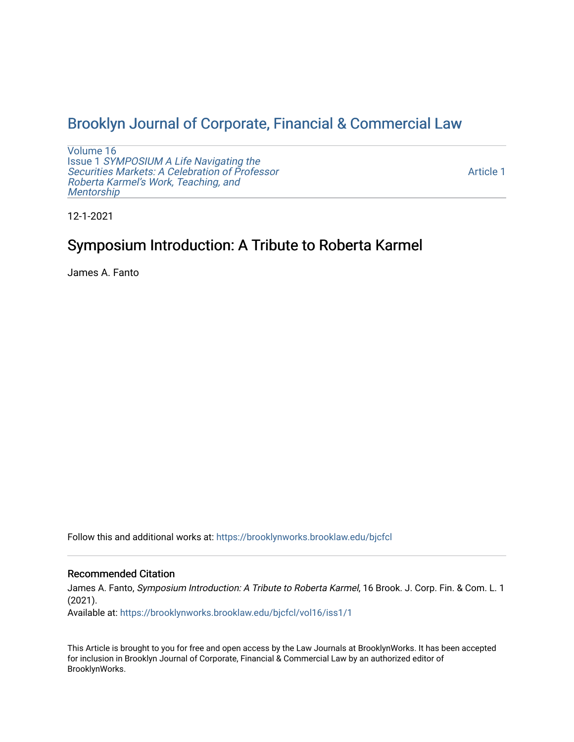## [Brooklyn Journal of Corporate, Financial & Commercial Law](https://brooklynworks.brooklaw.edu/bjcfcl)

[Volume 16](https://brooklynworks.brooklaw.edu/bjcfcl/vol16) Issue 1 [SYMPOSIUM A Life Navigating the](https://brooklynworks.brooklaw.edu/bjcfcl/vol16/iss1) [Securities Markets: A Celebration of Professor](https://brooklynworks.brooklaw.edu/bjcfcl/vol16/iss1) [Roberta Karmel's Work, Teaching, and](https://brooklynworks.brooklaw.edu/bjcfcl/vol16/iss1)  **Mentorship** 

[Article 1](https://brooklynworks.brooklaw.edu/bjcfcl/vol16/iss1/1) 

12-1-2021

# Symposium Introduction: A Tribute to Roberta Karmel

James A. Fanto

Follow this and additional works at: [https://brooklynworks.brooklaw.edu/bjcfcl](https://brooklynworks.brooklaw.edu/bjcfcl?utm_source=brooklynworks.brooklaw.edu%2Fbjcfcl%2Fvol16%2Fiss1%2F1&utm_medium=PDF&utm_campaign=PDFCoverPages)

### Recommended Citation

James A. Fanto, Symposium Introduction: A Tribute to Roberta Karmel, 16 Brook. J. Corp. Fin. & Com. L. 1 (2021).

Available at: [https://brooklynworks.brooklaw.edu/bjcfcl/vol16/iss1/1](https://brooklynworks.brooklaw.edu/bjcfcl/vol16/iss1/1?utm_source=brooklynworks.brooklaw.edu%2Fbjcfcl%2Fvol16%2Fiss1%2F1&utm_medium=PDF&utm_campaign=PDFCoverPages)

This Article is brought to you for free and open access by the Law Journals at BrooklynWorks. It has been accepted for inclusion in Brooklyn Journal of Corporate, Financial & Commercial Law by an authorized editor of BrooklynWorks.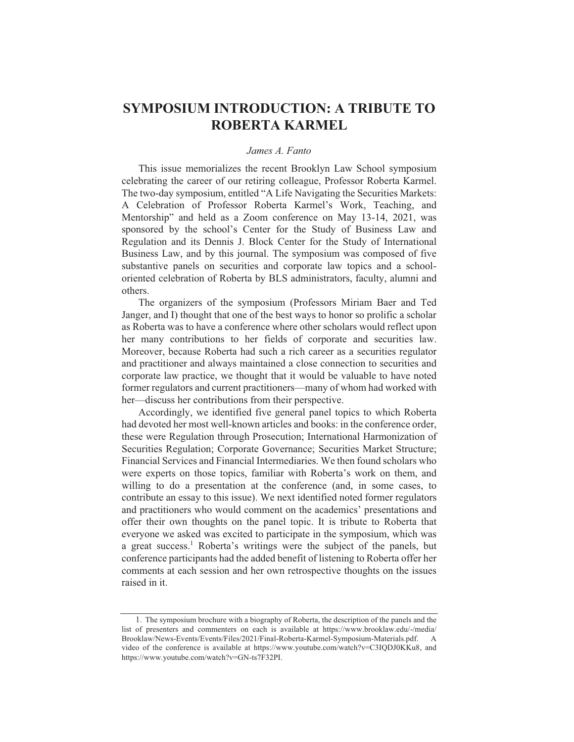### **SYMPOSIUM INTRODUCTION: A TRIBUTE TO** ROBERTA KARMEL

#### James A. Fanto

This issue memorializes the recent Brooklyn Law School symposium celebrating the career of our retiring colleague, Professor Roberta Karmel. The two-day symposium, entitled "A Life Navigating the Securities Markets: A Celebration of Professor Roberta Karmel's Work, Teaching, and Mentorship" and held as a Zoom conference on May 13-14, 2021, was sponsored by the school's Center for the Study of Business Law and Regulation and its Dennis J. Block Center for the Study of International Business Law, and by this journal. The symposium was composed of five substantive panels on securities and corporate law topics and a schooloriented celebration of Roberta by BLS administrators, faculty, alumni and others.

The organizers of the symposium (Professors Miriam Baer and Ted Janger, and I) thought that one of the best ways to honor so prolific a scholar as Roberta was to have a conference where other scholars would reflect upon her many contributions to her fields of corporate and securities law. Moreover, because Roberta had such a rich career as a securities regulator and practitioner and always maintained a close connection to securities and corporate law practice, we thought that it would be valuable to have noted former regulators and current practitioners—many of whom had worked with her—discuss her contributions from their perspective.

Accordingly, we identified five general panel topics to which Roberta had devoted her most well-known articles and books: in the conference order, these were Regulation through Prosecution; International Harmonization of Securities Regulation; Corporate Governance; Securities Market Structure; Financial Services and Financial Intermediaries. We then found scholars who were experts on those topics, familiar with Roberta's work on them, and willing to do a presentation at the conference (and, in some cases, to contribute an essay to this issue). We next identified noted former regulators and practitioners who would comment on the academics' presentations and offer their own thoughts on the panel topic. It is tribute to Roberta that everyone we asked was excited to participate in the symposium, which was a great success.<sup>1</sup> Roberta's writings were the subject of the panels, but conference participants had the added benefit of listening to Roberta offer her comments at each session and her own retrospective thoughts on the issues raised in it.

<sup>1.</sup> The symposium brochure with a biography of Roberta, the description of the panels and the list of presenters and commenters on each is available at https://www.brooklaw.edu/-/media/ Brooklaw/News-Events/Events/Files/2021/Final-Roberta-Karmel-Symposium-Materials.pdf.  $\overline{A}$ video of the conference is available at https://www.youtube.com/watch?v=C3IQDJ0KKu8, and https://www.youtube.com/watch?v=GN-ts7F32PI.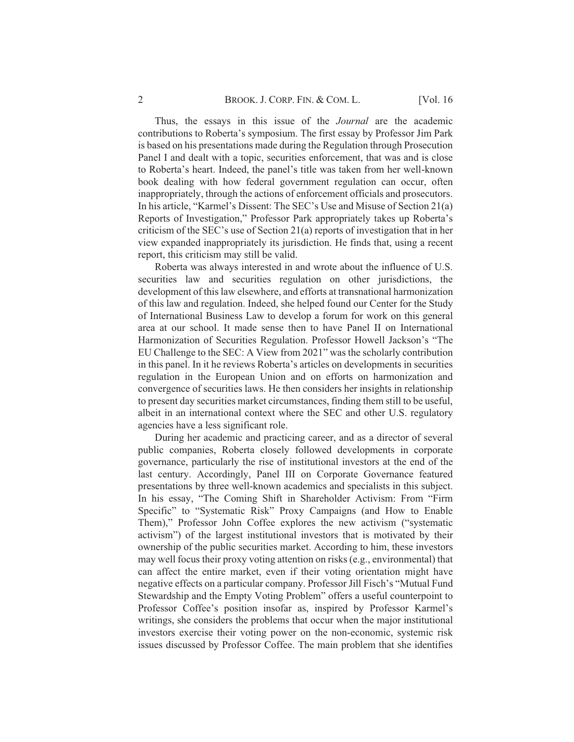Thus, the essays in this issue of the *Journal* are the academic contributions to Roberta's symposium. The first essay by Professor Jim Park is based on his presentations made during the Regulation through Prosecution Panel I and dealt with a topic, securities enforcement, that was and is close to Roberta's heart. Indeed, the panel's title was taken from her well-known book dealing with how federal government regulation can occur, often inappropriately, through the actions of enforcement officials and prosecutors. In his article, "Karmel's Dissent: The SEC's Use and Misuse of Section 21(a) Reports of Investigation," Professor Park appropriately takes up Roberta's criticism of the SEC's use of Section 21(a) reports of investigation that in her view expanded inappropriately its jurisdiction. He finds that, using a recent report, this criticism may still be valid.

Roberta was always interested in and wrote about the influence of U.S. securities law and securities regulation on other jurisdictions, the development of this law elsewhere, and efforts at transnational harmonization of this law and regulation. Indeed, she helped found our Center for the Study of International Business Law to develop a forum for work on this general area at our school. It made sense then to have Panel II on International Harmonization of Securities Regulation. Professor Howell Jackson's "The EU Challenge to the SEC: A View from 2021" was the scholarly contribution in this panel. In it he reviews Roberta's articles on developments in securities regulation in the European Union and on efforts on harmonization and convergence of securities laws. He then considers her insights in relationship to present day securities market circumstances, finding them still to be useful, albeit in an international context where the SEC and other U.S. regulatory agencies have a less significant role.

During her academic and practicing career, and as a director of several public companies, Roberta closely followed developments in corporate governance, particularly the rise of institutional investors at the end of the last century. Accordingly, Panel III on Corporate Governance featured presentations by three well-known academics and specialists in this subject. In his essay, "The Coming Shift in Shareholder Activism: From "Firm Specific" to "Systematic Risk" Proxy Campaigns (and How to Enable Them)," Professor John Coffee explores the new activism ("systematic activism") of the largest institutional investors that is motivated by their ownership of the public securities market. According to him, these investors may well focus their proxy voting attention on risks (e.g., environmental) that can affect the entire market, even if their voting orientation might have negative effects on a particular company. Professor Jill Fisch's "Mutual Fund" Stewardship and the Empty Voting Problem" offers a useful counterpoint to Professor Coffee's position insofar as, inspired by Professor Karmel's writings, she considers the problems that occur when the major institutional investors exercise their voting power on the non-economic, systemic risk issues discussed by Professor Coffee. The main problem that she identifies